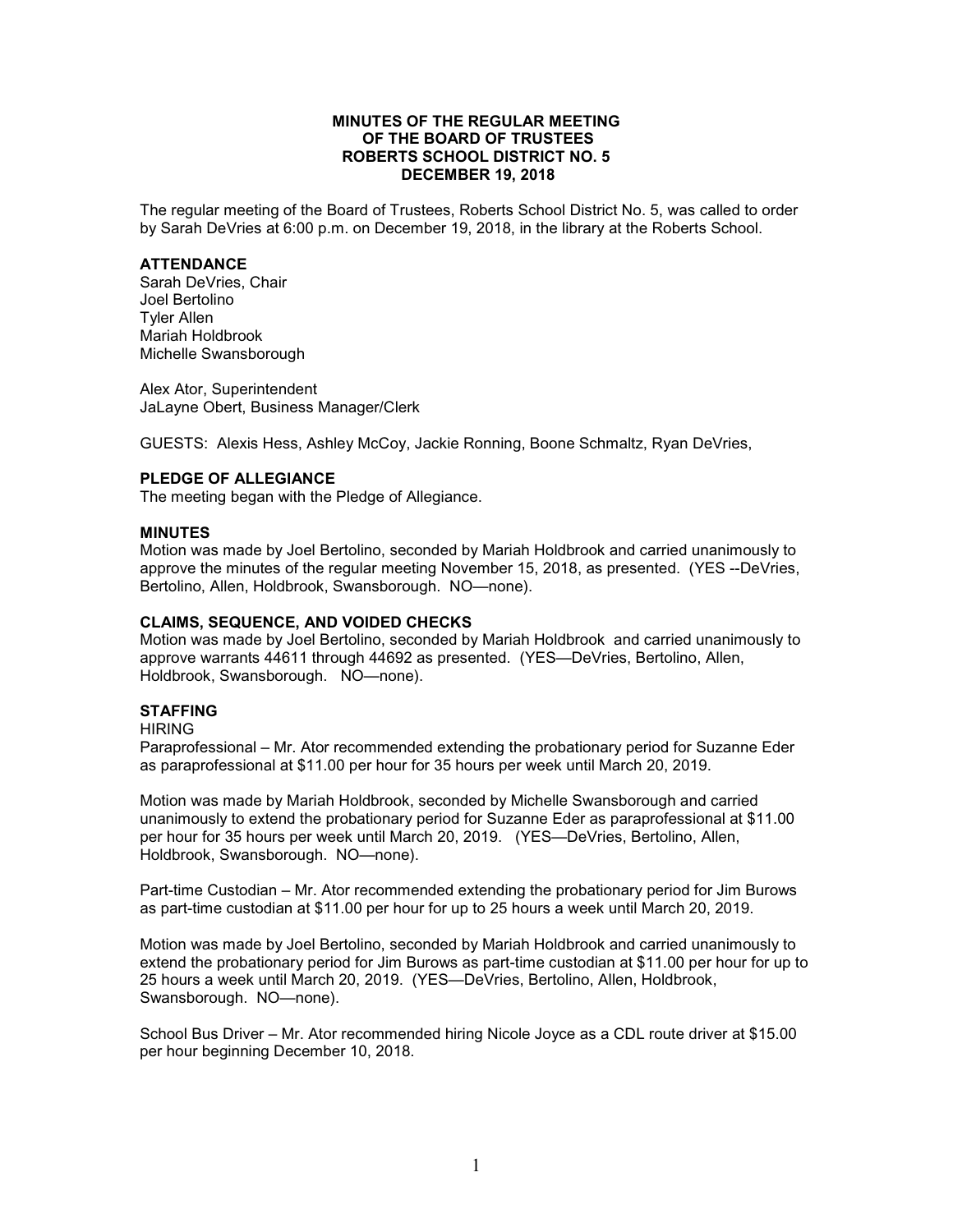## **MINUTES OF THE REGULAR MEETING OF THE BOARD OF TRUSTEES ROBERTS SCHOOL DISTRICT NO. 5 DECEMBER 19, 2018**

The regular meeting of the Board of Trustees, Roberts School District No. 5, was called to order by Sarah DeVries at 6:00 p.m. on December 19, 2018, in the library at the Roberts School.

### **ATTENDANCE**

Sarah DeVries, Chair Joel Bertolino Tyler Allen Mariah Holdbrook Michelle Swansborough

Alex Ator, Superintendent JaLayne Obert, Business Manager/Clerk

GUESTS: Alexis Hess, Ashley McCoy, Jackie Ronning, Boone Schmaltz, Ryan DeVries,

# **PLEDGE OF ALLEGIANCE**

The meeting began with the Pledge of Allegiance.

### **MINUTES**

Motion was made by Joel Bertolino, seconded by Mariah Holdbrook and carried unanimously to approve the minutes of the regular meeting November 15, 2018, as presented. (YES --DeVries, Bertolino, Allen, Holdbrook, Swansborough. NO—none).

### **CLAIMS, SEQUENCE, AND VOIDED CHECKS**

Motion was made by Joel Bertolino, seconded by Mariah Holdbrook and carried unanimously to approve warrants 44611 through 44692 as presented. (YES—DeVries, Bertolino, Allen, Holdbrook, Swansborough. NO—none).

## **STAFFING**

#### HIRING

Paraprofessional – Mr. Ator recommended extending the probationary period for Suzanne Eder as paraprofessional at \$11.00 per hour for 35 hours per week until March 20, 2019.

Motion was made by Mariah Holdbrook, seconded by Michelle Swansborough and carried unanimously to extend the probationary period for Suzanne Eder as paraprofessional at \$11.00 per hour for 35 hours per week until March 20, 2019. (YES—DeVries, Bertolino, Allen, Holdbrook, Swansborough. NO—none).

Part-time Custodian – Mr. Ator recommended extending the probationary period for Jim Burows as part-time custodian at \$11.00 per hour for up to 25 hours a week until March 20, 2019.

Motion was made by Joel Bertolino, seconded by Mariah Holdbrook and carried unanimously to extend the probationary period for Jim Burows as part-time custodian at \$11.00 per hour for up to 25 hours a week until March 20, 2019. (YES—DeVries, Bertolino, Allen, Holdbrook, Swansborough. NO—none).

School Bus Driver – Mr. Ator recommended hiring Nicole Joyce as a CDL route driver at \$15.00 per hour beginning December 10, 2018.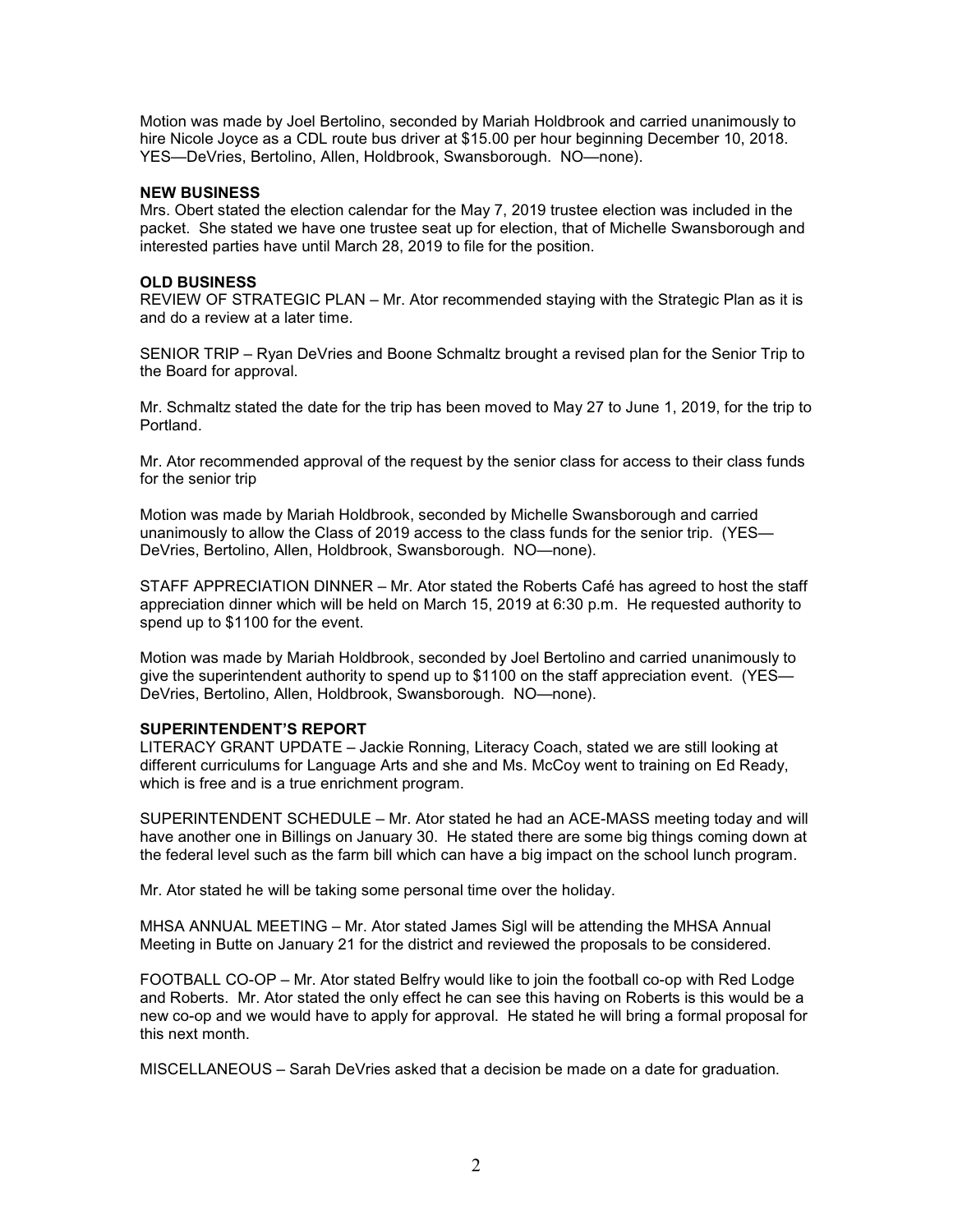Motion was made by Joel Bertolino, seconded by Mariah Holdbrook and carried unanimously to hire Nicole Joyce as a CDL route bus driver at \$15.00 per hour beginning December 10, 2018. YES—DeVries, Bertolino, Allen, Holdbrook, Swansborough. NO—none).

## **NEW BUSINESS**

Mrs. Obert stated the election calendar for the May 7, 2019 trustee election was included in the packet. She stated we have one trustee seat up for election, that of Michelle Swansborough and interested parties have until March 28, 2019 to file for the position.

## **OLD BUSINESS**

REVIEW OF STRATEGIC PLAN – Mr. Ator recommended staying with the Strategic Plan as it is and do a review at a later time.

SENIOR TRIP – Ryan DeVries and Boone Schmaltz brought a revised plan for the Senior Trip to the Board for approval.

Mr. Schmaltz stated the date for the trip has been moved to May 27 to June 1, 2019, for the trip to Portland.

Mr. Ator recommended approval of the request by the senior class for access to their class funds for the senior trip

Motion was made by Mariah Holdbrook, seconded by Michelle Swansborough and carried unanimously to allow the Class of 2019 access to the class funds for the senior trip. (YES— DeVries, Bertolino, Allen, Holdbrook, Swansborough. NO—none).

STAFF APPRECIATION DINNER – Mr. Ator stated the Roberts Café has agreed to host the staff appreciation dinner which will be held on March 15, 2019 at 6:30 p.m. He requested authority to spend up to \$1100 for the event.

Motion was made by Mariah Holdbrook, seconded by Joel Bertolino and carried unanimously to give the superintendent authority to spend up to \$1100 on the staff appreciation event. (YES-DeVries, Bertolino, Allen, Holdbrook, Swansborough. NO—none).

## **SUPERINTENDENT'S REPORT**

LITERACY GRANT UPDATE – Jackie Ronning, Literacy Coach, stated we are still looking at different curriculums for Language Arts and she and Ms. McCoy went to training on Ed Ready, which is free and is a true enrichment program.

SUPERINTENDENT SCHEDULE – Mr. Ator stated he had an ACE-MASS meeting today and will have another one in Billings on January 30. He stated there are some big things coming down at the federal level such as the farm bill which can have a big impact on the school lunch program.

Mr. Ator stated he will be taking some personal time over the holiday.

MHSA ANNUAL MEETING – Mr. Ator stated James Sigl will be attending the MHSA Annual Meeting in Butte on January 21 for the district and reviewed the proposals to be considered.

FOOTBALL CO-OP – Mr. Ator stated Belfry would like to join the football co-op with Red Lodge and Roberts. Mr. Ator stated the only effect he can see this having on Roberts is this would be a new co-op and we would have to apply for approval. He stated he will bring a formal proposal for this next month.

MISCELLANEOUS – Sarah DeVries asked that a decision be made on a date for graduation.